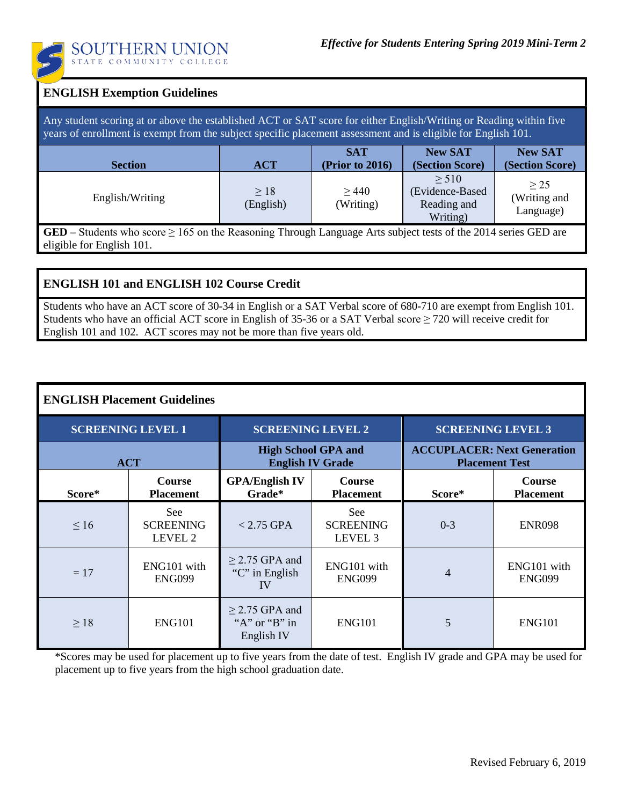

| <b>ENGLISH Exemption Guidelines</b>                                                                                                                                                                                                 |                  |                               |                                                          |                                        |  |  |  |
|-------------------------------------------------------------------------------------------------------------------------------------------------------------------------------------------------------------------------------------|------------------|-------------------------------|----------------------------------------------------------|----------------------------------------|--|--|--|
| Any student scoring at or above the established ACT or SAT score for either English/Writing or Reading within five<br>years of enrollment is exempt from the subject specific placement assessment and is eligible for English 101. |                  |                               |                                                          |                                        |  |  |  |
| <b>Section</b>                                                                                                                                                                                                                      | <b>ACT</b>       | <b>SAT</b><br>(Prior to 2016) | <b>New SAT</b><br>(Section Score)                        | <b>New SAT</b><br>(Section Score)      |  |  |  |
| English/Writing                                                                                                                                                                                                                     | >18<br>(English) | >440<br>(Writing)             | $\geq 510$<br>(Evidence-Based<br>Reading and<br>Writing) | $\geq$ 25<br>(Writing and<br>Language) |  |  |  |
| GED – Students who score $\geq 165$ on the Reasoning Through Language Arts subject tests of the 2014 series GED are<br>eligible for English 101.                                                                                    |                  |                               |                                                          |                                        |  |  |  |

## **ENGLISH 101 and ENGLISH 102 Course Credit**

Students who have an ACT score of 30-34 in English or a SAT Verbal score of 680-710 are exempt from English 101. Students who have an official ACT score in English of 35-36 or a SAT Verbal score ≥ 720 will receive credit for English 101 and 102. ACT scores may not be more than five years old.

## **ENGLISH Placement Guidelines**

| <b>SCREENING LEVEL 1</b> |                                    | <b>SCREENING LEVEL 2</b>                              |                                               | <b>SCREENING LEVEL 3</b>                                    |                                   |
|--------------------------|------------------------------------|-------------------------------------------------------|-----------------------------------------------|-------------------------------------------------------------|-----------------------------------|
| <b>ACT</b>               |                                    | <b>High School GPA and</b><br><b>English IV Grade</b> |                                               | <b>ACCUPLACER: Next Generation</b><br><b>Placement Test</b> |                                   |
| Score*                   | <b>Course</b><br><b>Placement</b>  | <b>GPA/English IV</b><br>Grade*                       | <b>Course</b><br><b>Placement</b>             | Score*                                                      | <b>Course</b><br><b>Placement</b> |
| $\leq 16$                | See<br><b>SCREENING</b><br>LEVEL 2 | $< 2.75$ GPA                                          | See<br><b>SCREENING</b><br>LEVEL <sub>3</sub> | $0 - 3$                                                     | <b>ENR098</b>                     |
| $=17$                    | ENG101 with<br><b>ENG099</b>       | $\geq$ 2.75 GPA and<br>"C" in English<br>IV           | ENG101 with<br><b>ENG099</b>                  | 4                                                           | ENG101 with<br><b>ENG099</b>      |
| $\geq 18$                | <b>ENG101</b>                      | $\geq$ 2.75 GPA and<br>"A" or "B" in<br>English IV    | <b>ENG101</b>                                 | 5                                                           | <b>ENG101</b>                     |

\*Scores may be used for placement up to five years from the date of test. English IV grade and GPA may be used for placement up to five years from the high school graduation date.